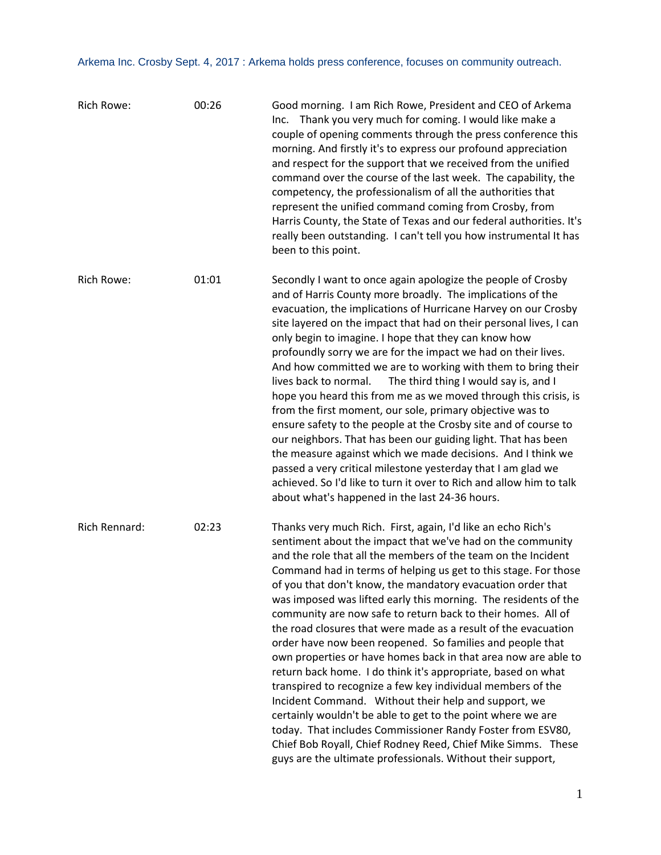| Rich Rowe:           | 00:26 | Good morning. I am Rich Rowe, President and CEO of Arkema<br>Inc. Thank you very much for coming. I would like make a<br>couple of opening comments through the press conference this<br>morning. And firstly it's to express our profound appreciation<br>and respect for the support that we received from the unified<br>command over the course of the last week. The capability, the<br>competency, the professionalism of all the authorities that<br>represent the unified command coming from Crosby, from<br>Harris County, the State of Texas and our federal authorities. It's<br>really been outstanding. I can't tell you how instrumental It has<br>been to this point.                                                                                                                                                                                                                                                                                                                                                                                                                                |
|----------------------|-------|----------------------------------------------------------------------------------------------------------------------------------------------------------------------------------------------------------------------------------------------------------------------------------------------------------------------------------------------------------------------------------------------------------------------------------------------------------------------------------------------------------------------------------------------------------------------------------------------------------------------------------------------------------------------------------------------------------------------------------------------------------------------------------------------------------------------------------------------------------------------------------------------------------------------------------------------------------------------------------------------------------------------------------------------------------------------------------------------------------------------|
| Rich Rowe:           | 01:01 | Secondly I want to once again apologize the people of Crosby<br>and of Harris County more broadly. The implications of the<br>evacuation, the implications of Hurricane Harvey on our Crosby<br>site layered on the impact that had on their personal lives, I can<br>only begin to imagine. I hope that they can know how<br>profoundly sorry we are for the impact we had on their lives.<br>And how committed we are to working with them to bring their<br>lives back to normal.<br>The third thing I would say is, and I<br>hope you heard this from me as we moved through this crisis, is<br>from the first moment, our sole, primary objective was to<br>ensure safety to the people at the Crosby site and of course to<br>our neighbors. That has been our guiding light. That has been<br>the measure against which we made decisions. And I think we<br>passed a very critical milestone yesterday that I am glad we<br>achieved. So I'd like to turn it over to Rich and allow him to talk<br>about what's happened in the last 24-36 hours.                                                            |
| <b>Rich Rennard:</b> | 02:23 | Thanks very much Rich. First, again, I'd like an echo Rich's<br>sentiment about the impact that we've had on the community<br>and the role that all the members of the team on the Incident<br>Command had in terms of helping us get to this stage. For those<br>of you that don't know, the mandatory evacuation order that<br>was imposed was lifted early this morning. The residents of the<br>community are now safe to return back to their homes. All of<br>the road closures that were made as a result of the evacuation<br>order have now been reopened. So families and people that<br>own properties or have homes back in that area now are able to<br>return back home. I do think it's appropriate, based on what<br>transpired to recognize a few key individual members of the<br>Incident Command. Without their help and support, we<br>certainly wouldn't be able to get to the point where we are<br>today. That includes Commissioner Randy Foster from ESV80,<br>Chief Bob Royall, Chief Rodney Reed, Chief Mike Simms. These<br>guys are the ultimate professionals. Without their support, |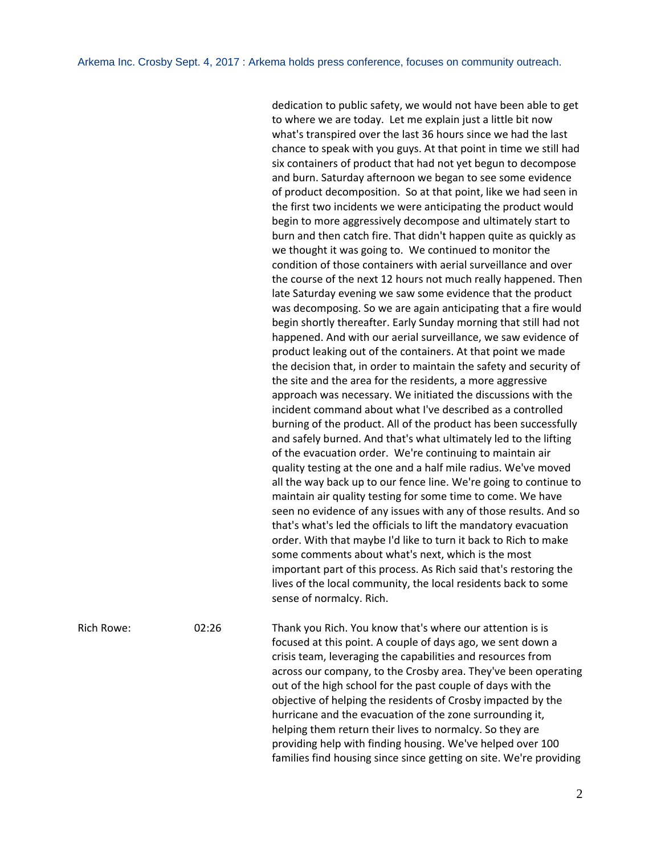dedication to public safety, we would not have been able to get to where we are today. Let me explain just a little bit now what's transpired over the last 36 hours since we had the last chance to speak with you guys. At that point in time we still had six containers of product that had not yet begun to decompose and burn. Saturday afternoon we began to see some evidence of product decomposition. So at that point, like we had seen in the first two incidents we were anticipating the product would begin to more aggressively decompose and ultimately start to burn and then catch fire. That didn't happen quite as quickly as we thought it was going to. We continued to monitor the condition of those containers with aerial surveillance and over the course of the next 12 hours not much really happened. Then late Saturday evening we saw some evidence that the product was decomposing. So we are again anticipating that a fire would begin shortly thereafter. Early Sunday morning that still had not happened. And with our aerial surveillance, we saw evidence of product leaking out of the containers. At that point we made the decision that, in order to maintain the safety and security of the site and the area for the residents, a more aggressive approach was necessary. We initiated the discussions with the incident command about what I've described as a controlled burning of the product. All of the product has been successfully and safely burned. And that's what ultimately led to the lifting of the evacuation order. We're continuing to maintain air quality testing at the one and a half mile radius. We've moved all the way back up to our fence line. We're going to continue to maintain air quality testing for some time to come. We have seen no evidence of any issues with any of those results. And so that's what's led the officials to lift the mandatory evacuation order. With that maybe I'd like to turn it back to Rich to make some comments about what's next, which is the most important part of this process. As Rich said that's restoring the lives of the local community, the local residents back to some sense of normalcy. Rich.

Rich Rowe: 02:26 Thank you Rich. You know that's where our attention is is focused at this point. A couple of days ago, we sent down a crisis team, leveraging the capabilities and resources from across our company, to the Crosby area. They've been operating out of the high school for the past couple of days with the objective of helping the residents of Crosby impacted by the hurricane and the evacuation of the zone surrounding it, helping them return their lives to normalcy. So they are providing help with finding housing. We've helped over 100 families find housing since since getting on site. We're providing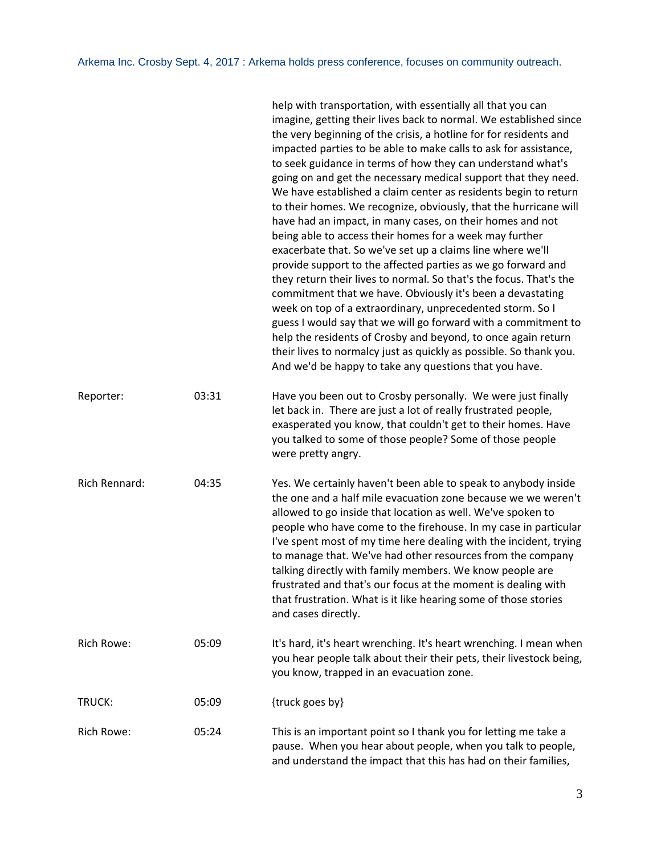|               |       | help with transportation, with essentially all that you can<br>imagine, getting their lives back to normal. We established since<br>the very beginning of the crisis, a hotline for for residents and<br>impacted parties to be able to make calls to ask for assistance,<br>to seek guidance in terms of how they can understand what's<br>going on and get the necessary medical support that they need.<br>We have established a claim center as residents begin to return<br>to their homes. We recognize, obviously, that the hurricane will<br>have had an impact, in many cases, on their homes and not<br>being able to access their homes for a week may further<br>exacerbate that. So we've set up a claims line where we'll<br>provide support to the affected parties as we go forward and<br>they return their lives to normal. So that's the focus. That's the<br>commitment that we have. Obviously it's been a devastating<br>week on top of a extraordinary, unprecedented storm. So I<br>guess I would say that we will go forward with a commitment to<br>help the residents of Crosby and beyond, to once again return<br>their lives to normalcy just as quickly as possible. So thank you.<br>And we'd be happy to take any questions that you have. |
|---------------|-------|-----------------------------------------------------------------------------------------------------------------------------------------------------------------------------------------------------------------------------------------------------------------------------------------------------------------------------------------------------------------------------------------------------------------------------------------------------------------------------------------------------------------------------------------------------------------------------------------------------------------------------------------------------------------------------------------------------------------------------------------------------------------------------------------------------------------------------------------------------------------------------------------------------------------------------------------------------------------------------------------------------------------------------------------------------------------------------------------------------------------------------------------------------------------------------------------------------------------------------------------------------------------------------|
| Reporter:     | 03:31 | Have you been out to Crosby personally. We were just finally<br>let back in. There are just a lot of really frustrated people,<br>exasperated you know, that couldn't get to their homes. Have<br>you talked to some of those people? Some of those people<br>were pretty angry.                                                                                                                                                                                                                                                                                                                                                                                                                                                                                                                                                                                                                                                                                                                                                                                                                                                                                                                                                                                            |
| Rich Rennard: | 04:35 | Yes. We certainly haven't been able to speak to anybody inside<br>the one and a half mile evacuation zone because we we weren't<br>allowed to go inside that location as well. We've spoken to<br>people who have come to the firehouse. In my case in particular<br>I've spent most of my time here dealing with the incident, trying<br>to manage that. We've had other resources from the company<br>talking directly with family members. We know people are<br>frustrated and that's our focus at the moment is dealing with<br>that frustration. What is it like hearing some of those stories<br>and cases directly.                                                                                                                                                                                                                                                                                                                                                                                                                                                                                                                                                                                                                                                 |
| Rich Rowe:    | 05:09 | It's hard, it's heart wrenching. It's heart wrenching. I mean when<br>you hear people talk about their their pets, their livestock being,<br>you know, trapped in an evacuation zone.                                                                                                                                                                                                                                                                                                                                                                                                                                                                                                                                                                                                                                                                                                                                                                                                                                                                                                                                                                                                                                                                                       |
| TRUCK:        | 05:09 | {truck goes by}                                                                                                                                                                                                                                                                                                                                                                                                                                                                                                                                                                                                                                                                                                                                                                                                                                                                                                                                                                                                                                                                                                                                                                                                                                                             |
| Rich Rowe:    | 05:24 | This is an important point so I thank you for letting me take a<br>pause. When you hear about people, when you talk to people,<br>and understand the impact that this has had on their families,                                                                                                                                                                                                                                                                                                                                                                                                                                                                                                                                                                                                                                                                                                                                                                                                                                                                                                                                                                                                                                                                            |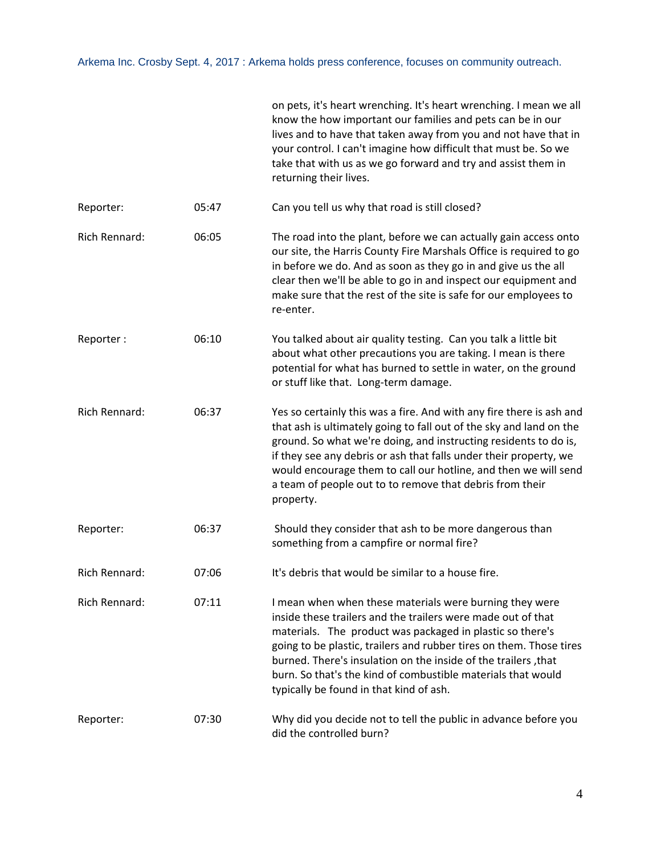|                      |       | on pets, it's heart wrenching. It's heart wrenching. I mean we all<br>know the how important our families and pets can be in our<br>lives and to have that taken away from you and not have that in<br>your control. I can't imagine how difficult that must be. So we<br>take that with us as we go forward and try and assist them in<br>returning their lives.                                                                        |
|----------------------|-------|------------------------------------------------------------------------------------------------------------------------------------------------------------------------------------------------------------------------------------------------------------------------------------------------------------------------------------------------------------------------------------------------------------------------------------------|
| Reporter:            | 05:47 | Can you tell us why that road is still closed?                                                                                                                                                                                                                                                                                                                                                                                           |
| <b>Rich Rennard:</b> | 06:05 | The road into the plant, before we can actually gain access onto<br>our site, the Harris County Fire Marshals Office is required to go<br>in before we do. And as soon as they go in and give us the all<br>clear then we'll be able to go in and inspect our equipment and<br>make sure that the rest of the site is safe for our employees to<br>re-enter.                                                                             |
| Reporter:            | 06:10 | You talked about air quality testing. Can you talk a little bit<br>about what other precautions you are taking. I mean is there<br>potential for what has burned to settle in water, on the ground<br>or stuff like that. Long-term damage.                                                                                                                                                                                              |
| Rich Rennard:        | 06:37 | Yes so certainly this was a fire. And with any fire there is ash and<br>that ash is ultimately going to fall out of the sky and land on the<br>ground. So what we're doing, and instructing residents to do is,<br>if they see any debris or ash that falls under their property, we<br>would encourage them to call our hotline, and then we will send<br>a team of people out to to remove that debris from their<br>property.         |
| Reporter:            | 06:37 | Should they consider that ash to be more dangerous than<br>something from a campfire or normal fire?                                                                                                                                                                                                                                                                                                                                     |
| Rich Rennard:        | 07:06 | It's debris that would be similar to a house fire.                                                                                                                                                                                                                                                                                                                                                                                       |
| Rich Rennard:        | 07:11 | I mean when when these materials were burning they were<br>inside these trailers and the trailers were made out of that<br>materials. The product was packaged in plastic so there's<br>going to be plastic, trailers and rubber tires on them. Those tires<br>burned. There's insulation on the inside of the trailers, that<br>burn. So that's the kind of combustible materials that would<br>typically be found in that kind of ash. |
| Reporter:            | 07:30 | Why did you decide not to tell the public in advance before you<br>did the controlled burn?                                                                                                                                                                                                                                                                                                                                              |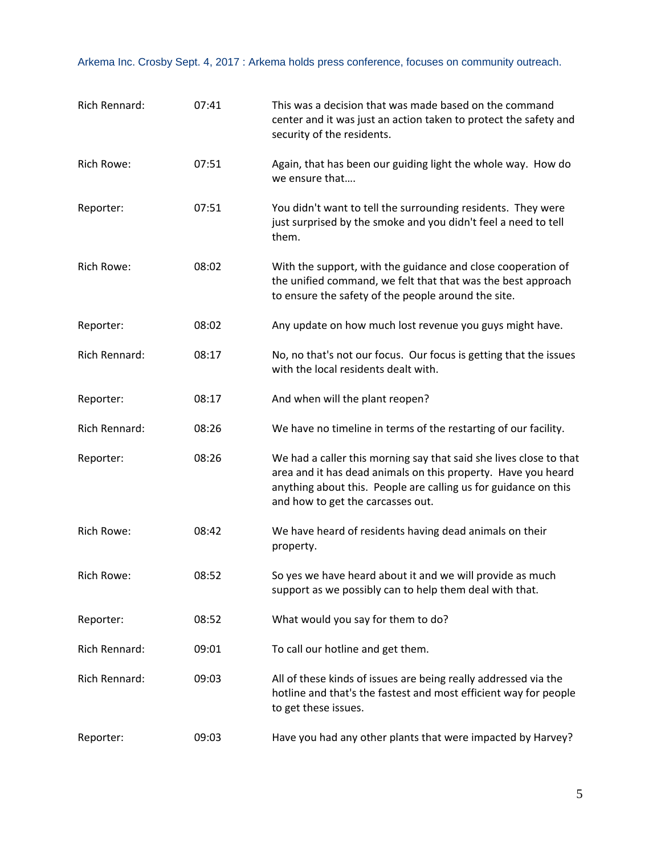| Rich Rennard:     | 07:41 | This was a decision that was made based on the command<br>center and it was just an action taken to protect the safety and<br>security of the residents.                                                                                    |
|-------------------|-------|---------------------------------------------------------------------------------------------------------------------------------------------------------------------------------------------------------------------------------------------|
| <b>Rich Rowe:</b> | 07:51 | Again, that has been our guiding light the whole way. How do<br>we ensure that                                                                                                                                                              |
| Reporter:         | 07:51 | You didn't want to tell the surrounding residents. They were<br>just surprised by the smoke and you didn't feel a need to tell<br>them.                                                                                                     |
| Rich Rowe:        | 08:02 | With the support, with the guidance and close cooperation of<br>the unified command, we felt that that was the best approach<br>to ensure the safety of the people around the site.                                                         |
| Reporter:         | 08:02 | Any update on how much lost revenue you guys might have.                                                                                                                                                                                    |
| Rich Rennard:     | 08:17 | No, no that's not our focus. Our focus is getting that the issues<br>with the local residents dealt with.                                                                                                                                   |
| Reporter:         | 08:17 | And when will the plant reopen?                                                                                                                                                                                                             |
| Rich Rennard:     | 08:26 | We have no timeline in terms of the restarting of our facility.                                                                                                                                                                             |
| Reporter:         | 08:26 | We had a caller this morning say that said she lives close to that<br>area and it has dead animals on this property. Have you heard<br>anything about this. People are calling us for guidance on this<br>and how to get the carcasses out. |
| <b>Rich Rowe:</b> | 08:42 | We have heard of residents having dead animals on their<br>property.                                                                                                                                                                        |
| Rich Rowe:        | 08:52 | So yes we have heard about it and we will provide as much<br>support as we possibly can to help them deal with that.                                                                                                                        |
| Reporter:         | 08:52 | What would you say for them to do?                                                                                                                                                                                                          |
| Rich Rennard:     | 09:01 | To call our hotline and get them.                                                                                                                                                                                                           |
| Rich Rennard:     | 09:03 | All of these kinds of issues are being really addressed via the<br>hotline and that's the fastest and most efficient way for people<br>to get these issues.                                                                                 |
| Reporter:         | 09:03 | Have you had any other plants that were impacted by Harvey?                                                                                                                                                                                 |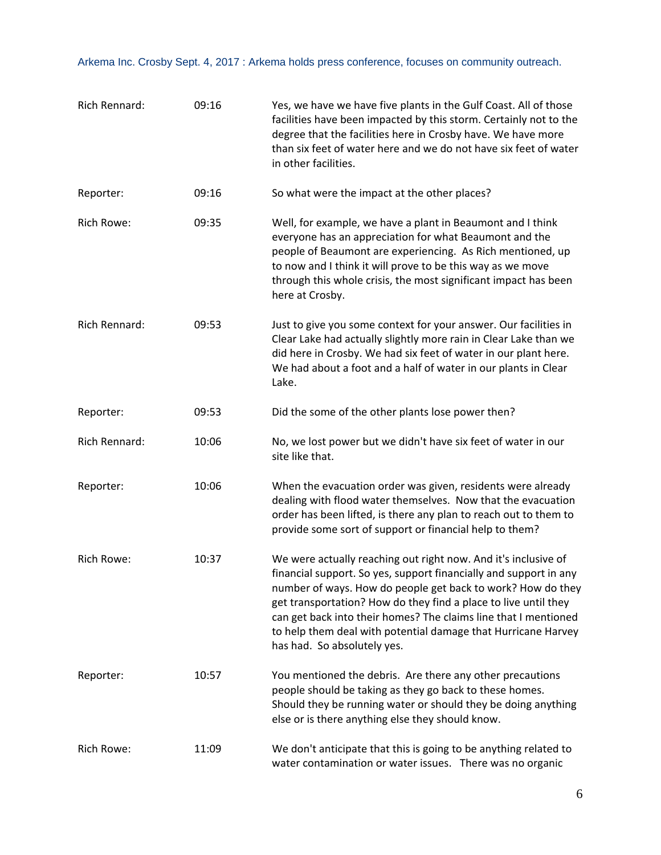| Rich Rennard:     | 09:16 | Yes, we have we have five plants in the Gulf Coast. All of those<br>facilities have been impacted by this storm. Certainly not to the<br>degree that the facilities here in Crosby have. We have more<br>than six feet of water here and we do not have six feet of water<br>in other facilities.                                                                                                                                        |
|-------------------|-------|------------------------------------------------------------------------------------------------------------------------------------------------------------------------------------------------------------------------------------------------------------------------------------------------------------------------------------------------------------------------------------------------------------------------------------------|
| Reporter:         | 09:16 | So what were the impact at the other places?                                                                                                                                                                                                                                                                                                                                                                                             |
| Rich Rowe:        | 09:35 | Well, for example, we have a plant in Beaumont and I think<br>everyone has an appreciation for what Beaumont and the<br>people of Beaumont are experiencing. As Rich mentioned, up<br>to now and I think it will prove to be this way as we move<br>through this whole crisis, the most significant impact has been<br>here at Crosby.                                                                                                   |
| Rich Rennard:     | 09:53 | Just to give you some context for your answer. Our facilities in<br>Clear Lake had actually slightly more rain in Clear Lake than we<br>did here in Crosby. We had six feet of water in our plant here.<br>We had about a foot and a half of water in our plants in Clear<br>Lake.                                                                                                                                                       |
| Reporter:         | 09:53 | Did the some of the other plants lose power then?                                                                                                                                                                                                                                                                                                                                                                                        |
| Rich Rennard:     | 10:06 | No, we lost power but we didn't have six feet of water in our<br>site like that.                                                                                                                                                                                                                                                                                                                                                         |
| Reporter:         | 10:06 | When the evacuation order was given, residents were already<br>dealing with flood water themselves. Now that the evacuation<br>order has been lifted, is there any plan to reach out to them to<br>provide some sort of support or financial help to them?                                                                                                                                                                               |
| <b>Rich Rowe:</b> | 10:37 | We were actually reaching out right now. And it's inclusive of<br>financial support. So yes, support financially and support in any<br>number of ways. How do people get back to work? How do they<br>get transportation? How do they find a place to live until they<br>can get back into their homes? The claims line that I mentioned<br>to help them deal with potential damage that Hurricane Harvey<br>has had. So absolutely yes. |
| Reporter:         | 10:57 | You mentioned the debris. Are there any other precautions<br>people should be taking as they go back to these homes.<br>Should they be running water or should they be doing anything<br>else or is there anything else they should know.                                                                                                                                                                                                |
| Rich Rowe:        | 11:09 | We don't anticipate that this is going to be anything related to<br>water contamination or water issues. There was no organic                                                                                                                                                                                                                                                                                                            |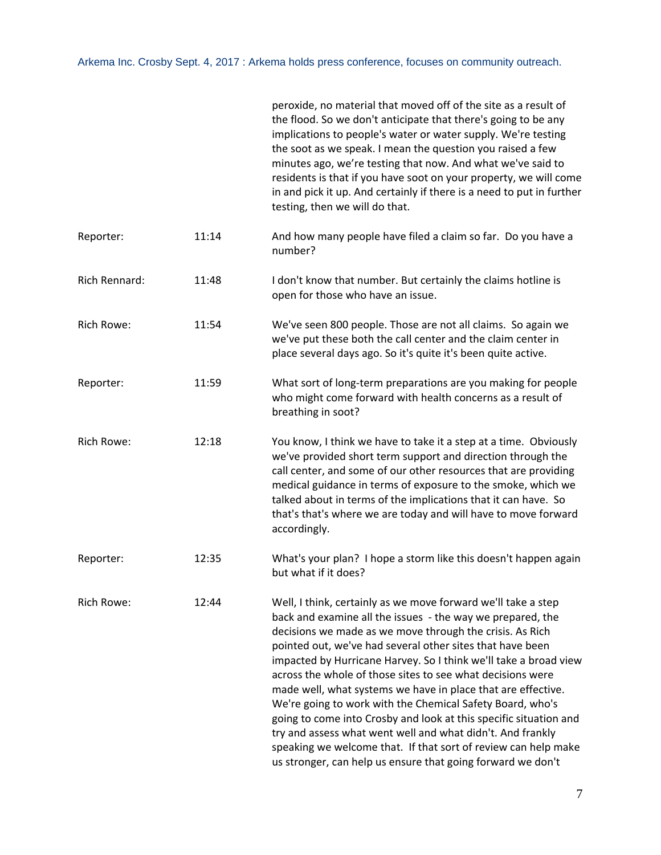|               |       | peroxide, no material that moved off of the site as a result of<br>the flood. So we don't anticipate that there's going to be any<br>implications to people's water or water supply. We're testing<br>the soot as we speak. I mean the question you raised a few<br>minutes ago, we're testing that now. And what we've said to<br>residents is that if you have soot on your property, we will come<br>in and pick it up. And certainly if there is a need to put in further<br>testing, then we will do that.                                                                                                                                                                                                                                                                         |
|---------------|-------|-----------------------------------------------------------------------------------------------------------------------------------------------------------------------------------------------------------------------------------------------------------------------------------------------------------------------------------------------------------------------------------------------------------------------------------------------------------------------------------------------------------------------------------------------------------------------------------------------------------------------------------------------------------------------------------------------------------------------------------------------------------------------------------------|
| Reporter:     | 11:14 | And how many people have filed a claim so far. Do you have a<br>number?                                                                                                                                                                                                                                                                                                                                                                                                                                                                                                                                                                                                                                                                                                                 |
| Rich Rennard: | 11:48 | I don't know that number. But certainly the claims hotline is<br>open for those who have an issue.                                                                                                                                                                                                                                                                                                                                                                                                                                                                                                                                                                                                                                                                                      |
| Rich Rowe:    | 11:54 | We've seen 800 people. Those are not all claims. So again we<br>we've put these both the call center and the claim center in<br>place several days ago. So it's quite it's been quite active.                                                                                                                                                                                                                                                                                                                                                                                                                                                                                                                                                                                           |
| Reporter:     | 11:59 | What sort of long-term preparations are you making for people<br>who might come forward with health concerns as a result of<br>breathing in soot?                                                                                                                                                                                                                                                                                                                                                                                                                                                                                                                                                                                                                                       |
| Rich Rowe:    | 12:18 | You know, I think we have to take it a step at a time. Obviously<br>we've provided short term support and direction through the<br>call center, and some of our other resources that are providing<br>medical guidance in terms of exposure to the smoke, which we<br>talked about in terms of the implications that it can have. So<br>that's that's where we are today and will have to move forward<br>accordingly.                                                                                                                                                                                                                                                                                                                                                                  |
| Reporter:     | 12:35 | What's your plan? I hope a storm like this doesn't happen again<br>but what if it does?                                                                                                                                                                                                                                                                                                                                                                                                                                                                                                                                                                                                                                                                                                 |
| Rich Rowe:    | 12:44 | Well, I think, certainly as we move forward we'll take a step<br>back and examine all the issues - the way we prepared, the<br>decisions we made as we move through the crisis. As Rich<br>pointed out, we've had several other sites that have been<br>impacted by Hurricane Harvey. So I think we'll take a broad view<br>across the whole of those sites to see what decisions were<br>made well, what systems we have in place that are effective.<br>We're going to work with the Chemical Safety Board, who's<br>going to come into Crosby and look at this specific situation and<br>try and assess what went well and what didn't. And frankly<br>speaking we welcome that. If that sort of review can help make<br>us stronger, can help us ensure that going forward we don't |